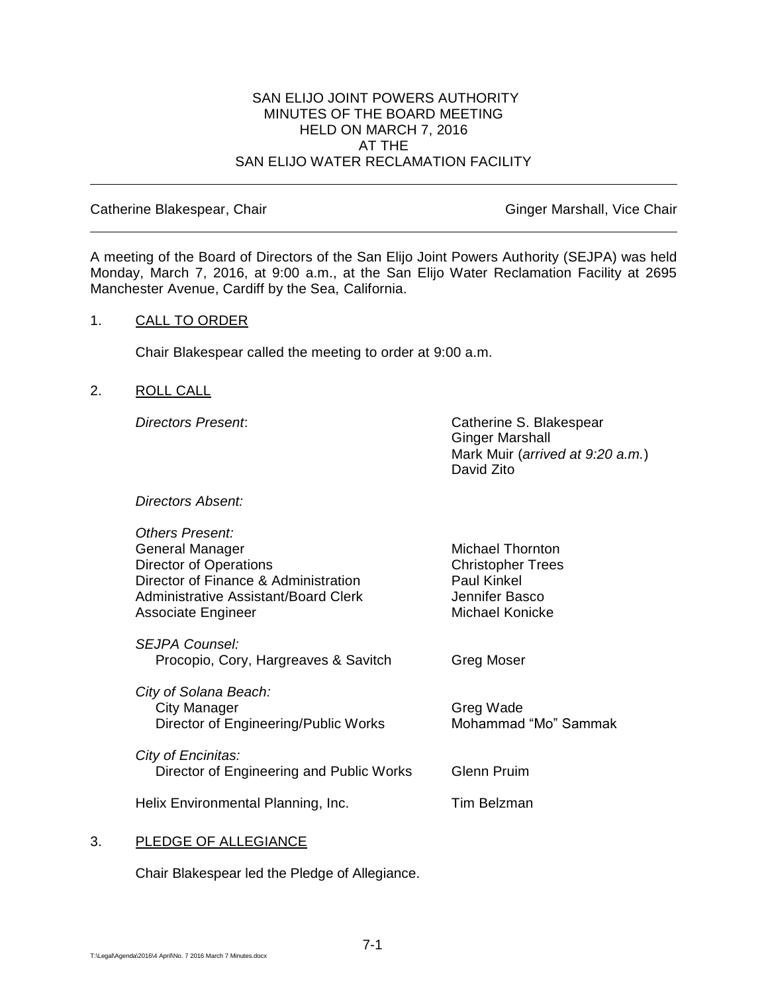#### SAN ELIJO JOINT POWERS AUTHORITY MINUTES OF THE BOARD MEETING HELD ON MARCH 7, 2016 AT THE SAN ELIJO WATER RECLAMATION FACILITY

#### Catherine Blakespear, Chair Ginger Marshall, Vice Chair

A meeting of the Board of Directors of the San Elijo Joint Powers Authority (SEJPA) was held Monday, March 7, 2016, at 9:00 a.m., at the San Elijo Water Reclamation Facility at 2695 Manchester Avenue, Cardiff by the Sea, California.

#### 1. CALL TO ORDER

Chair Blakespear called the meeting to order at 9:00 a.m.

## 2. ROLL CALL

*Directors Present*: Catherine S. Blakespear Ginger Marshall Mark Muir (*arrived at 9:20 a.m.*) David Zito

*Directors Absent:*

| Others Present:<br>General Manager<br><b>Director of Operations</b><br>Director of Finance & Administration<br>Administrative Assistant/Board Clerk<br>Associate Engineer | <b>Michael Thornton</b><br><b>Christopher Trees</b><br><b>Paul Kinkel</b><br>Jennifer Basco<br>Michael Konicke |
|---------------------------------------------------------------------------------------------------------------------------------------------------------------------------|----------------------------------------------------------------------------------------------------------------|
| <i>SEJPA Counsel:</i><br>Procopio, Cory, Hargreaves & Savitch                                                                                                             | Greg Moser                                                                                                     |
| City of Solana Beach:<br><b>City Manager</b><br>Director of Engineering/Public Works                                                                                      | Greg Wade<br>Mohammad "Mo" Sammak                                                                              |
| City of Encinitas:<br>Director of Engineering and Public Works                                                                                                            | <b>Glenn Pruim</b>                                                                                             |
| Helix Environmental Planning, Inc.                                                                                                                                        | Tim Belzman                                                                                                    |

#### 3. PLEDGE OF ALLEGIANCE

Chair Blakespear led the Pledge of Allegiance.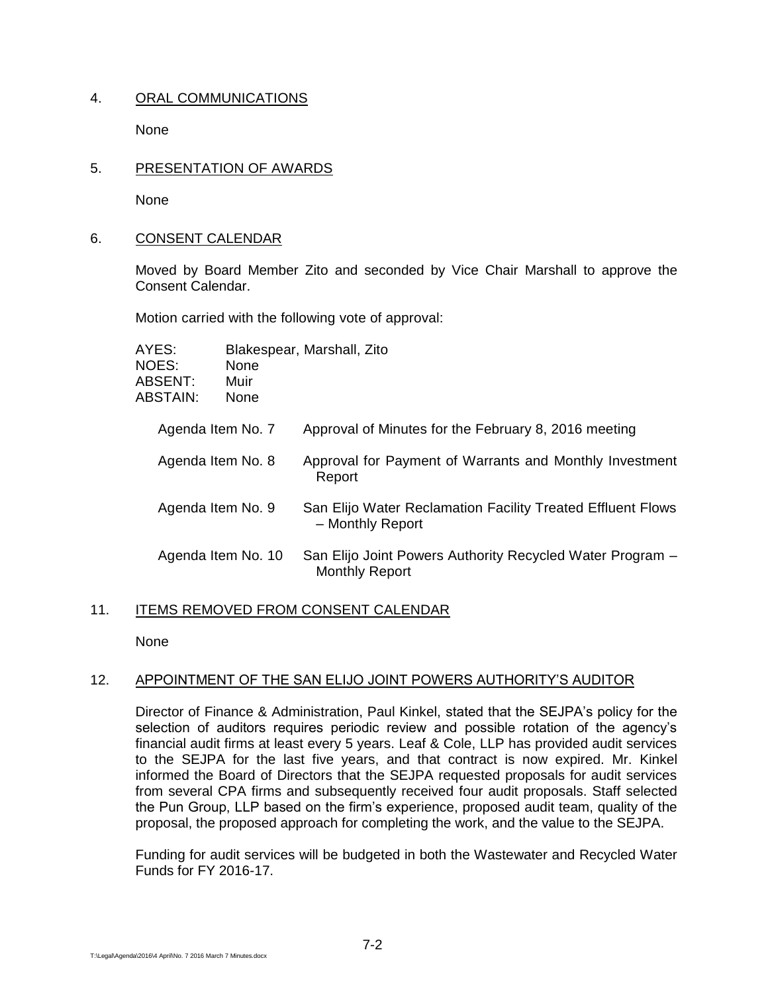# 4. ORAL COMMUNICATIONS

None

5. PRESENTATION OF AWARDS

None

6. CONSENT CALENDAR

Moved by Board Member Zito and seconded by Vice Chair Marshall to approve the Consent Calendar.

Motion carried with the following vote of approval:

| AYES:<br><b>NOES:</b><br>ABSENT:<br>ABSTAIN: | None<br>Muir<br>None | Blakespear, Marshall, Zito                                                         |
|----------------------------------------------|----------------------|------------------------------------------------------------------------------------|
| Agenda Item No. 7                            |                      | Approval of Minutes for the February 8, 2016 meeting                               |
| Agenda Item No. 8                            |                      | Approval for Payment of Warrants and Monthly Investment<br>Report                  |
| Agenda Item No. 9                            |                      | San Elijo Water Reclamation Facility Treated Effluent Flows<br>- Monthly Report    |
| Agenda Item No. 10                           |                      | San Elijo Joint Powers Authority Recycled Water Program -<br><b>Monthly Report</b> |

# 11. ITEMS REMOVED FROM CONSENT CALENDAR

None

# 12. APPOINTMENT OF THE SAN ELIJO JOINT POWERS AUTHORITY'S AUDITOR

Director of Finance & Administration, Paul Kinkel, stated that the SEJPA's policy for the selection of auditors requires periodic review and possible rotation of the agency's financial audit firms at least every 5 years. Leaf & Cole, LLP has provided audit services to the SEJPA for the last five years, and that contract is now expired. Mr. Kinkel informed the Board of Directors that the SEJPA requested proposals for audit services from several CPA firms and subsequently received four audit proposals. Staff selected the Pun Group, LLP based on the firm's experience, proposed audit team, quality of the proposal, the proposed approach for completing the work, and the value to the SEJPA.

Funding for audit services will be budgeted in both the Wastewater and Recycled Water Funds for FY 2016-17.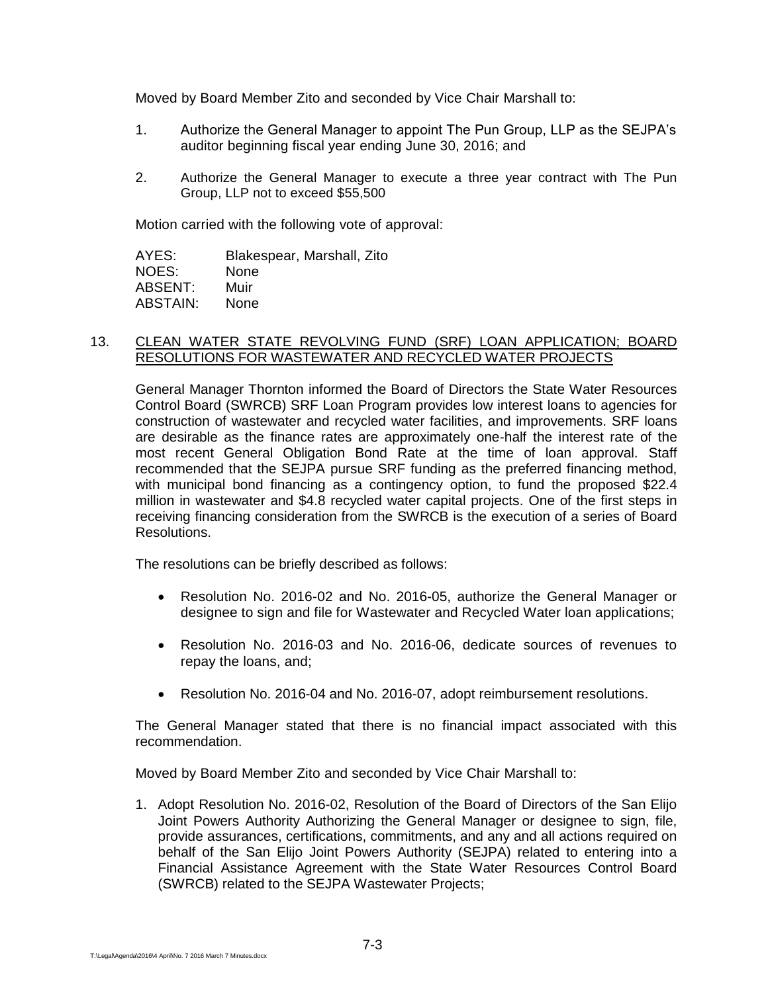Moved by Board Member Zito and seconded by Vice Chair Marshall to:

- 1. Authorize the General Manager to appoint The Pun Group, LLP as the SEJPA's auditor beginning fiscal year ending June 30, 2016; and
- 2. Authorize the General Manager to execute a three year contract with The Pun Group, LLP not to exceed \$55,500

Motion carried with the following vote of approval:

AYES: Blakespear, Marshall, Zito NOES: None ABSENT: Muir ABSTAIN: None

## 13. CLEAN WATER STATE REVOLVING FUND (SRF) LOAN APPLICATION; BOARD RESOLUTIONS FOR WASTEWATER AND RECYCLED WATER PROJECTS

General Manager Thornton informed the Board of Directors the State Water Resources Control Board (SWRCB) SRF Loan Program provides low interest loans to agencies for construction of wastewater and recycled water facilities, and improvements. SRF loans are desirable as the finance rates are approximately one-half the interest rate of the most recent General Obligation Bond Rate at the time of loan approval. Staff recommended that the SEJPA pursue SRF funding as the preferred financing method, with municipal bond financing as a contingency option, to fund the proposed \$22.4 million in wastewater and \$4.8 recycled water capital projects. One of the first steps in receiving financing consideration from the SWRCB is the execution of a series of Board Resolutions.

The resolutions can be briefly described as follows:

- Resolution No. 2016-02 and No. 2016-05, authorize the General Manager or designee to sign and file for Wastewater and Recycled Water loan applications;
- Resolution No. 2016-03 and No. 2016-06, dedicate sources of revenues to repay the loans, and;
- Resolution No. 2016-04 and No. 2016-07, adopt reimbursement resolutions.

The General Manager stated that there is no financial impact associated with this recommendation.

Moved by Board Member Zito and seconded by Vice Chair Marshall to:

1. Adopt Resolution No. 2016-02, Resolution of the Board of Directors of the San Elijo Joint Powers Authority Authorizing the General Manager or designee to sign, file, provide assurances, certifications, commitments, and any and all actions required on behalf of the San Elijo Joint Powers Authority (SEJPA) related to entering into a Financial Assistance Agreement with the State Water Resources Control Board (SWRCB) related to the SEJPA Wastewater Projects;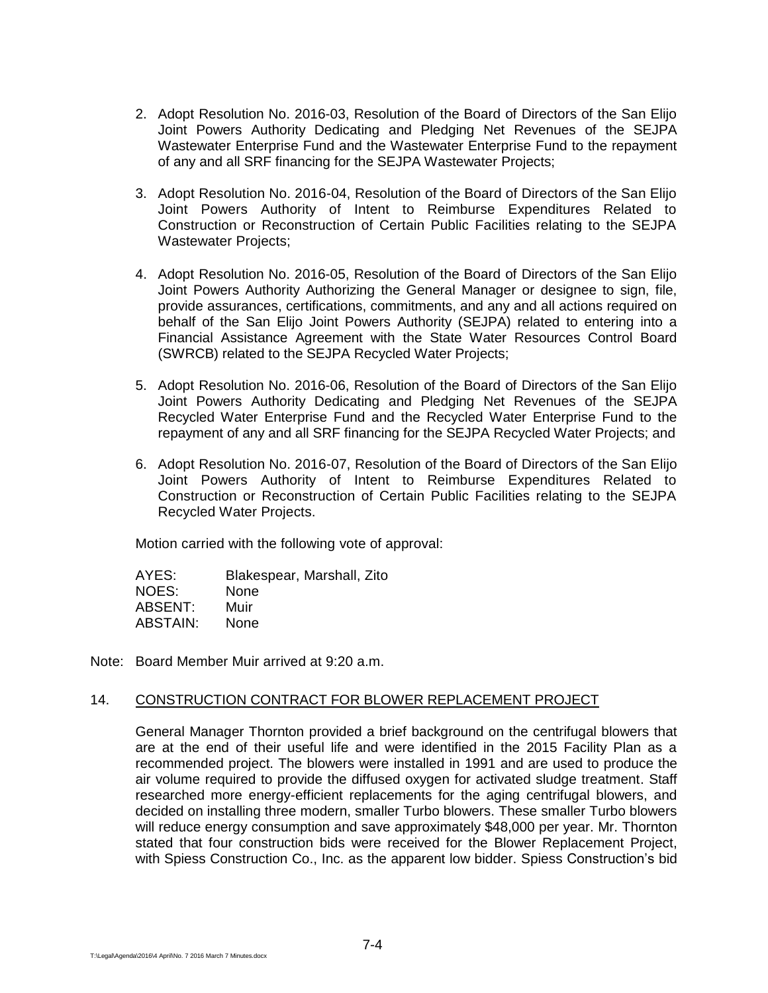- 2. Adopt Resolution No. 2016-03, Resolution of the Board of Directors of the San Elijo Joint Powers Authority Dedicating and Pledging Net Revenues of the SEJPA Wastewater Enterprise Fund and the Wastewater Enterprise Fund to the repayment of any and all SRF financing for the SEJPA Wastewater Projects;
- 3. Adopt Resolution No. 2016-04, Resolution of the Board of Directors of the San Elijo Joint Powers Authority of Intent to Reimburse Expenditures Related to Construction or Reconstruction of Certain Public Facilities relating to the SEJPA Wastewater Projects;
- 4. Adopt Resolution No. 2016-05, Resolution of the Board of Directors of the San Elijo Joint Powers Authority Authorizing the General Manager or designee to sign, file, provide assurances, certifications, commitments, and any and all actions required on behalf of the San Elijo Joint Powers Authority (SEJPA) related to entering into a Financial Assistance Agreement with the State Water Resources Control Board (SWRCB) related to the SEJPA Recycled Water Projects;
- 5. Adopt Resolution No. 2016-06, Resolution of the Board of Directors of the San Elijo Joint Powers Authority Dedicating and Pledging Net Revenues of the SEJPA Recycled Water Enterprise Fund and the Recycled Water Enterprise Fund to the repayment of any and all SRF financing for the SEJPA Recycled Water Projects; and
- 6. Adopt Resolution No. 2016-07, Resolution of the Board of Directors of the San Elijo Joint Powers Authority of Intent to Reimburse Expenditures Related to Construction or Reconstruction of Certain Public Facilities relating to the SEJPA Recycled Water Projects.

Motion carried with the following vote of approval:

AYES: Blakespear, Marshall, Zito NOES: None ABSENT: Muir ABSTAIN: None

Note: Board Member Muir arrived at 9:20 a.m.

#### 14. CONSTRUCTION CONTRACT FOR BLOWER REPLACEMENT PROJECT

General Manager Thornton provided a brief background on the centrifugal blowers that are at the end of their useful life and were identified in the 2015 Facility Plan as a recommended project. The blowers were installed in 1991 and are used to produce the air volume required to provide the diffused oxygen for activated sludge treatment. Staff researched more energy-efficient replacements for the aging centrifugal blowers, and decided on installing three modern, smaller Turbo blowers. These smaller Turbo blowers will reduce energy consumption and save approximately \$48,000 per year. Mr. Thornton stated that four construction bids were received for the Blower Replacement Project, with Spiess Construction Co., Inc. as the apparent low bidder. Spiess Construction's bid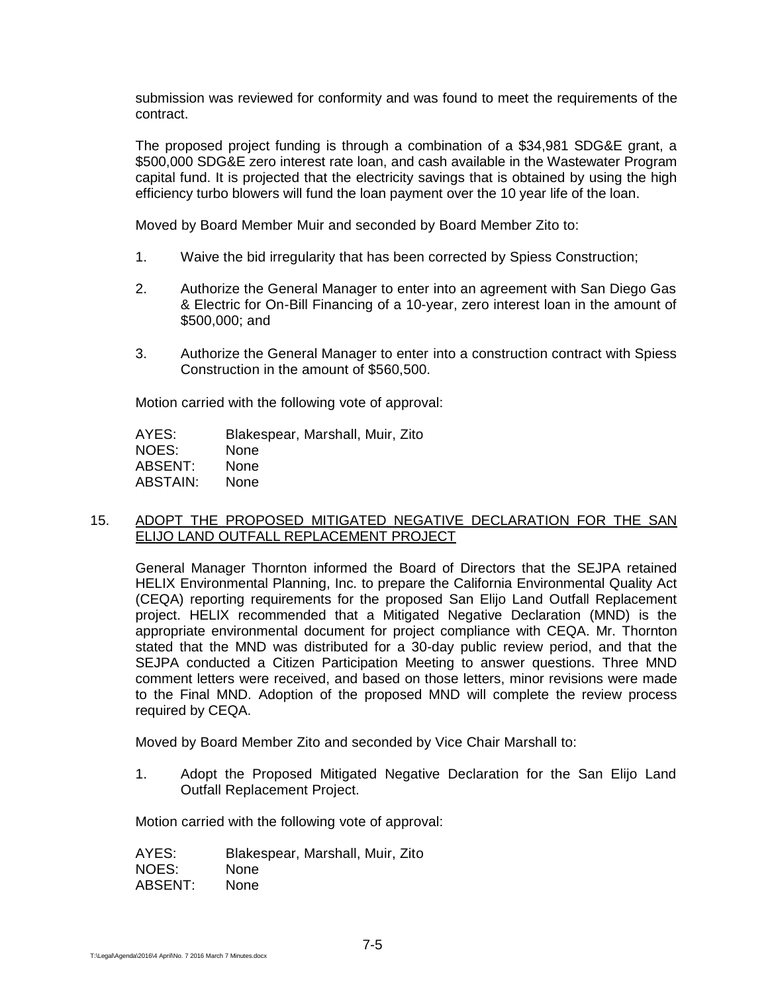submission was reviewed for conformity and was found to meet the requirements of the contract.

The proposed project funding is through a combination of a \$34,981 SDG&E grant, a \$500,000 SDG&E zero interest rate loan, and cash available in the Wastewater Program capital fund. It is projected that the electricity savings that is obtained by using the high efficiency turbo blowers will fund the loan payment over the 10 year life of the loan.

Moved by Board Member Muir and seconded by Board Member Zito to:

- 1. Waive the bid irregularity that has been corrected by Spiess Construction;
- 2. Authorize the General Manager to enter into an agreement with San Diego Gas & Electric for On-Bill Financing of a 10-year, zero interest loan in the amount of \$500,000; and
- 3. Authorize the General Manager to enter into a construction contract with Spiess Construction in the amount of \$560,500.

Motion carried with the following vote of approval:

AYES: Blakespear, Marshall, Muir, Zito NOES: None ABSENT: None ABSTAIN: None

#### 15. ADOPT THE PROPOSED MITIGATED NEGATIVE DECLARATION FOR THE SAN ELIJO LAND OUTFALL REPLACEMENT PROJECT

General Manager Thornton informed the Board of Directors that the SEJPA retained HELIX Environmental Planning, Inc. to prepare the California Environmental Quality Act (CEQA) reporting requirements for the proposed San Elijo Land Outfall Replacement project. HELIX recommended that a Mitigated Negative Declaration (MND) is the appropriate environmental document for project compliance with CEQA. Mr. Thornton stated that the MND was distributed for a 30-day public review period, and that the SEJPA conducted a Citizen Participation Meeting to answer questions. Three MND comment letters were received, and based on those letters, minor revisions were made to the Final MND. Adoption of the proposed MND will complete the review process required by CEQA.

Moved by Board Member Zito and seconded by Vice Chair Marshall to:

1. Adopt the Proposed Mitigated Negative Declaration for the San Elijo Land Outfall Replacement Project.

Motion carried with the following vote of approval:

AYES: Blakespear, Marshall, Muir, Zito NOES: None ABSENT: None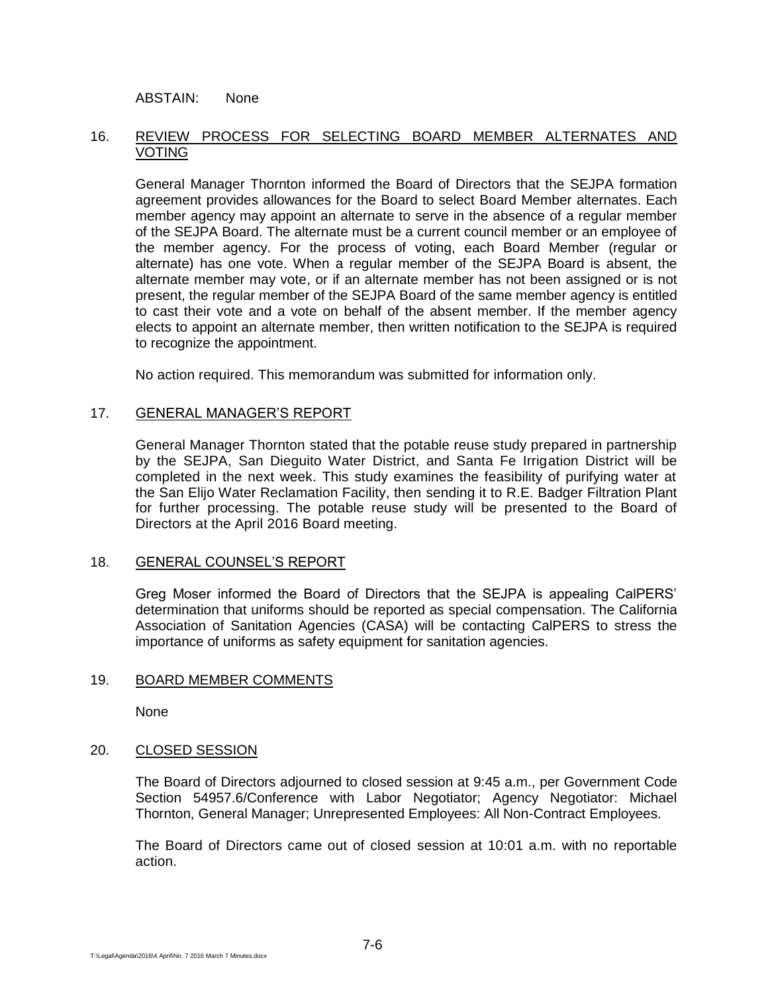ABSTAIN: None

## 16. REVIEW PROCESS FOR SELECTING BOARD MEMBER ALTERNATES AND VOTING

General Manager Thornton informed the Board of Directors that the SEJPA formation agreement provides allowances for the Board to select Board Member alternates. Each member agency may appoint an alternate to serve in the absence of a regular member of the SEJPA Board. The alternate must be a current council member or an employee of the member agency. For the process of voting, each Board Member (regular or alternate) has one vote. When a regular member of the SEJPA Board is absent, the alternate member may vote, or if an alternate member has not been assigned or is not present, the regular member of the SEJPA Board of the same member agency is entitled to cast their vote and a vote on behalf of the absent member. If the member agency elects to appoint an alternate member, then written notification to the SEJPA is required to recognize the appointment.

No action required. This memorandum was submitted for information only.

#### 17. GENERAL MANAGER'S REPORT

General Manager Thornton stated that the potable reuse study prepared in partnership by the SEJPA, San Dieguito Water District, and Santa Fe Irrigation District will be completed in the next week. This study examines the feasibility of purifying water at the San Elijo Water Reclamation Facility, then sending it to R.E. Badger Filtration Plant for further processing. The potable reuse study will be presented to the Board of Directors at the April 2016 Board meeting.

#### 18. GENERAL COUNSEL'S REPORT

Greg Moser informed the Board of Directors that the SEJPA is appealing CalPERS' determination that uniforms should be reported as special compensation. The California Association of Sanitation Agencies (CASA) will be contacting CalPERS to stress the importance of uniforms as safety equipment for sanitation agencies.

#### 19. BOARD MEMBER COMMENTS

None

#### 20. CLOSED SESSION

The Board of Directors adjourned to closed session at 9:45 a.m., per Government Code Section 54957.6/Conference with Labor Negotiator; Agency Negotiator: Michael Thornton, General Manager; Unrepresented Employees: All Non-Contract Employees.

The Board of Directors came out of closed session at 10:01 a.m. with no reportable action.